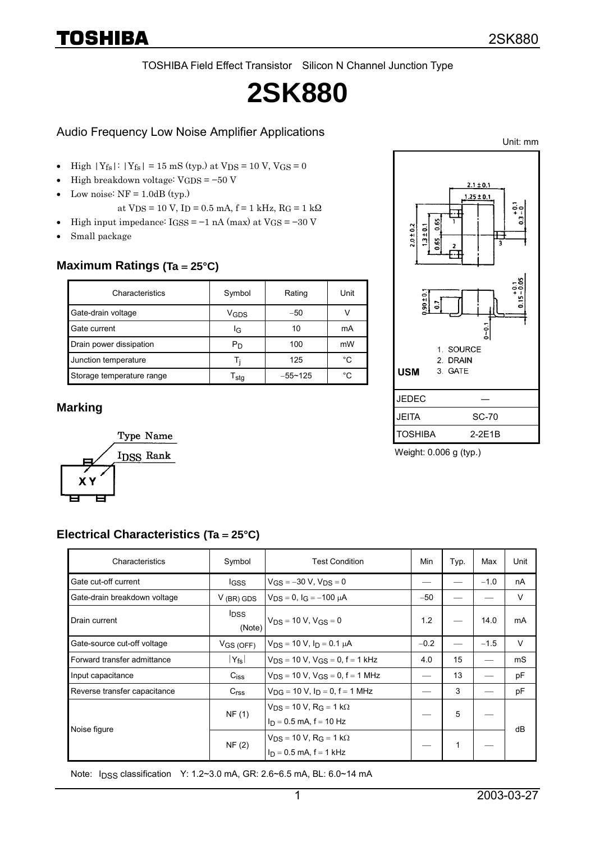TOSHIBA Field Effect Transistor Silicon N Channel Junction Type

# **2SK880**

#### Audio Frequency Low Noise Amplifier Applications

- High  $|Y_{fs}|$ :  $|Y_{fs}| = 15$  mS (typ.) at  $V_{DS} = 10$  V,  $V_{GS} = 0$
- High breakdown voltage: VGDS = −50 V
- $\bullet$ Low noise:  $NF = 1.0dB$  (typ.)
	- at Vps = 10 V, Ip = 0.5 mA, f = 1 kHz, RG = 1 k $\Omega$
- High input impedance:  $I$ GSS = −1 nA (max) at  $V$ GS = −30 V
- $\bullet$ Small package

#### **Maximum Ratings (Ta = 25°C)**

| Characteristics           | Symbol           | Rating      | Unit |
|---------------------------|------------------|-------------|------|
| Gate-drain voltage        | V <sub>GDS</sub> | $-50$       |      |
| Gate current              | ΙG               | 10          | mA   |
| Drain power dissipation   | Рŋ               | 100         | mW   |
| Junction temperature      |                  | 125         | °C   |
| Storage temperature range | l sta            | $-55 - 125$ | °∩   |

#### **Marking**



Electrical Characteristics (Ta = 25°C)

Weight: 0.006 g (typ.)

JEDEC ― JEITA SC-70 TOSHIBA 2-2E1B

1. SOURCE 2. DRAIN

3. GATE

በ ልና

 $2.0 \pm 0.2$  $1.3 \pm 0.1$ 

**USM** 

| Characteristics              | Symbol                            | <b>Test Condition</b>                                                 | Min    | Typ. | Max    | Unit |
|------------------------------|-----------------------------------|-----------------------------------------------------------------------|--------|------|--------|------|
| Gate cut-off current         | <b>IGSS</b>                       | $V_{GS} = -30 V$ , $V_{DS} = 0$                                       |        |      | $-1.0$ | nA   |
| Gate-drain breakdown voltage | $V$ (BR) GDS                      | $V_{DS} = 0$ , $I_G = -100 \mu A$                                     | $-50$  |      |        | V    |
| Drain current                | <b>I</b> <sub>DSS</sub><br>(Note) | $V_{DS} = 10 V$ , $V_{GS} = 0$                                        | 1.2    |      | 14.0   | mA   |
| Gate-source cut-off voltage  | $V$ GS (OFF)                      | $V_{DS}$ = 10 V, $I_D$ = 0.1 $\mu$ A                                  | $-0.2$ |      | $-1.5$ | V    |
| Forward transfer admittance  | $ Y_{\mathsf{fs}} $               | $V_{DS}$ = 10 V, $V_{GS}$ = 0, f = 1 kHz                              | 4.0    | 15   |        | mS   |
| Input capacitance            | $C_{\text{iss}}$                  | $V_{DS}$ = 10 V, $V_{GS}$ = 0, f = 1 MHz                              |        | 13   |        | pF   |
| Reverse transfer capacitance | C <sub>rss</sub>                  | $V_{\text{DG}} = 10 \text{ V}, I_{\text{D}} = 0, f = 1 \text{ MHz}$   |        | 3    |        | pF   |
| Noise figure                 | NF(1)                             | $V_{DS}$ = 10 V, R <sub>G</sub> = 1 kΩ<br>$I_D = 0.5$ mA, f = 10 Hz   |        | 5    |        | dB   |
|                              | NF(2)                             | $V_{DS}$ = 10 V, R <sub>G</sub> = 1 kΩ<br>$I_D = 0.5$ mA, $f = 1$ kHz |        | 1    |        |      |

Note: IDSS classification Y: 1.2~3.0 mA, GR: 2.6~6.5 mA, BL: 6.0~14 mA

Unit: mm

 $\frac{1}{2}$  $\dot{c}$ 

 $0.15 - 0.05$ 

 $2.1 \pm 0.1$  $.25 \pm 0.1$ 

- 0<br>- 0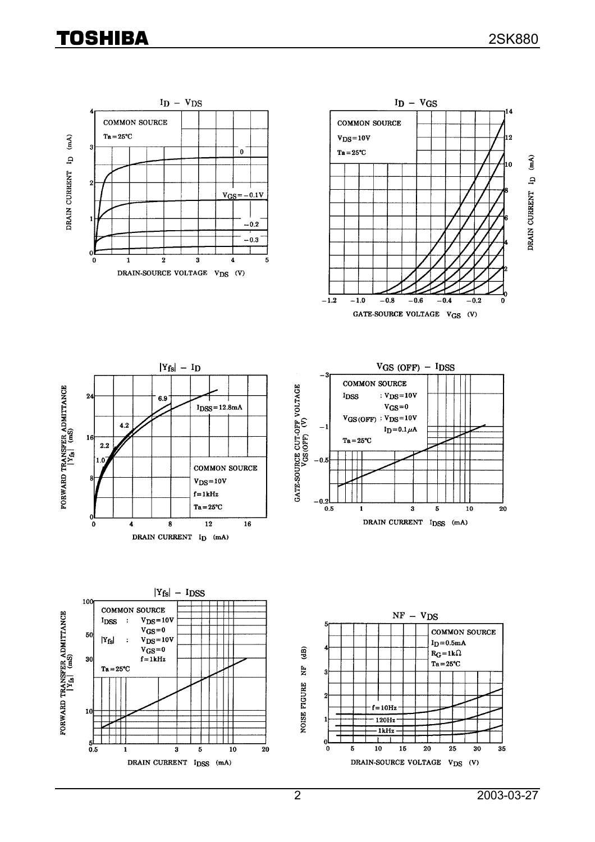## **TOSHIBA**

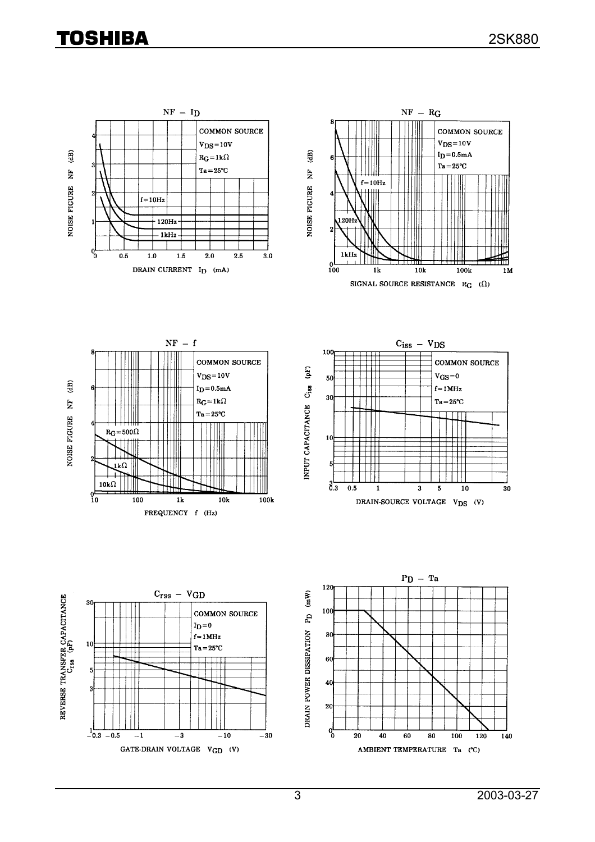### TOSHIBA